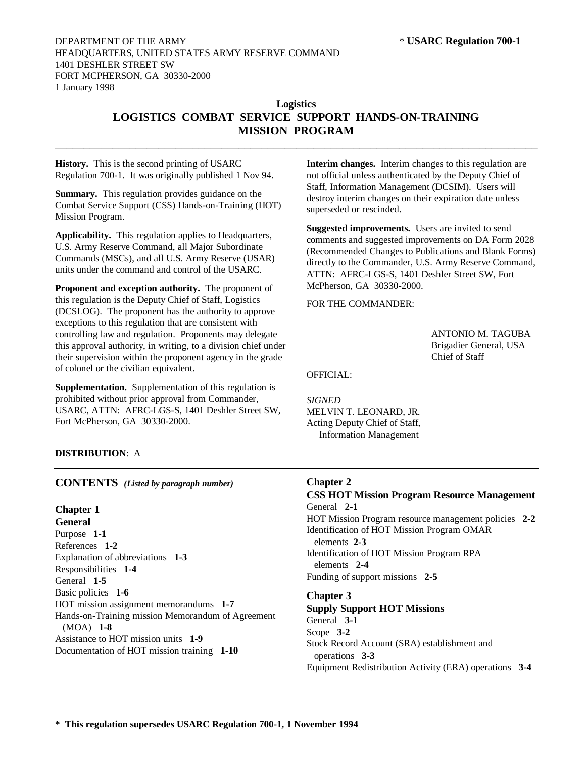# **Logistics LOGISTICS COMBAT SERVICE SUPPORT HANDS-ON-TRAINING MISSION PROGRAM**

 $\_$  , and the set of the set of the set of the set of the set of the set of the set of the set of the set of the set of the set of the set of the set of the set of the set of the set of the set of the set of the set of th

**History.** This is the second printing of USARC Regulation 700-1. It was originally published 1 Nov 94.

**Summary.** This regulation provides guidance on the Combat Service Support (CSS) Hands-on-Training (HOT) Mission Program.

**Applicability.** This regulation applies to Headquarters, U.S. Army Reserve Command, all Major Subordinate Commands (MSCs), and all U.S. Army Reserve (USAR) units under the command and control of the USARC.

**Proponent and exception authority.** The proponent of this regulation is the Deputy Chief of Staff, Logistics (DCSLOG). The proponent has the authority to approve exceptions to this regulation that are consistent with controlling law and regulation. Proponents may delegate this approval authority, in writing, to a division chief under their supervision within the proponent agency in the grade of colonel or the civilian equivalent.

**Supplementation.** Supplementation of this regulation is prohibited without prior approval from Commander, USARC, ATTN: AFRC-LGS-S, 1401 Deshler Street SW, Fort McPherson, GA 30330-2000.

**Interim changes.** Interim changes to this regulation are not official unless authenticated by the Deputy Chief of Staff, Information Management (DCSIM). Users will destroy interim changes on their expiration date unless superseded or rescinded.

**Suggested improvements.** Users are invited to send comments and suggested improvements on DA Form 2028 (Recommended Changes to Publications and Blank Forms) directly to the Commander, U.S. Army Reserve Command, ATTN: AFRC-LGS-S, 1401 Deshler Street SW, Fort McPherson, GA 30330-2000.

FOR THE COMMANDER:

ANTONIO M. TAGUBA Brigadier General, USA Chief of Staff

OFFICIAL:

*SIGNED* MELVIN T. LEONARD, JR. Acting Deputy Chief of Staff, Information Management

# **DISTRIBUTION**: A

**CONTENTS** *(Listed by paragraph number)*

# **Chapter 1**

**General** Purpose **1-1** References **1-2** Explanation of abbreviations **1-3** Responsibilities **1-4** General **1-5** Basic policies **1-6** HOT mission assignment memorandums **1-7** Hands-on-Training mission Memorandum of Agreement (MOA) **1-8** Assistance to HOT mission units **1-9** Documentation of HOT mission training **1-10**

## **Chapter 2**

# **CSS HOT Mission Program Resource Management** General **2-1** HOT Mission Program resource management policies **2-2** Identification of HOT Mission Program OMAR elements **2-3**

Identification of HOT Mission Program RPA elements **2-4** Funding of support missions **2-5**

## **Chapter 3**

# **Supply Support HOT Missions**

General **3-1** Scope **3-2** Stock Record Account (SRA) establishment and operations **3-3** Equipment Redistribution Activity (ERA) operations **3-4**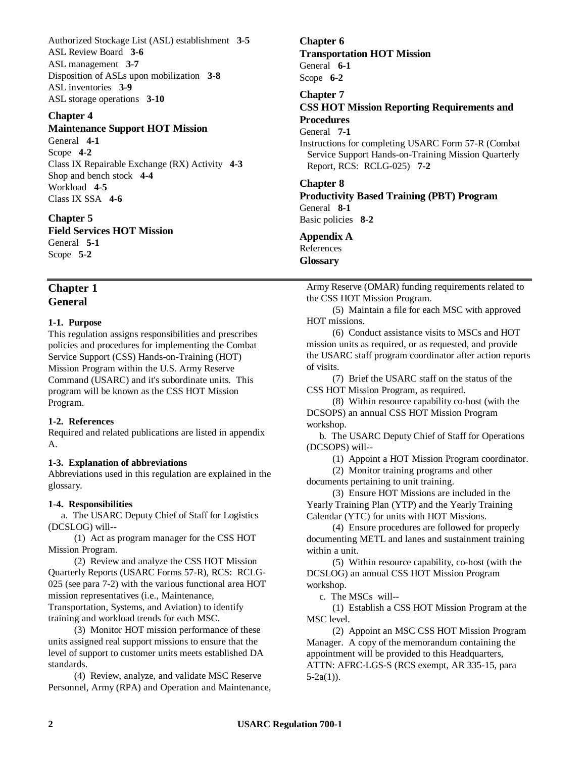Authorized Stockage List (ASL) establishment **3-5** ASL Review Board **3-6** ASL management **3-7** Disposition of ASLs upon mobilization **3-8** ASL inventories **3-9** ASL storage operations **3-10**

# **Chapter 4**

## **Maintenance Support HOT Mission**

General **4-1** Scope **4-2** Class IX Repairable Exchange (RX) Activity **4-3** Shop and bench stock **4-4** Workload **4-5** Class IX SSA **4-6**

**Chapter 5 Field Services HOT Mission**

General **5-1** Scope **5-2**

# **Chapter 1 General**

## **1-1. Purpose**

This regulation assigns responsibilities and prescribes policies and procedures for implementing the Combat Service Support (CSS) Hands-on-Training (HOT) Mission Program within the U.S. Army Reserve Command (USARC) and it's subordinate units. This program will be known as the CSS HOT Mission Program.

## **1-2. References**

Required and related publications are listed in appendix A.

# **1-3. Explanation of abbreviations**

Abbreviations used in this regulation are explained in the glossary.

## **1-4. Responsibilities**

a. The USARC Deputy Chief of Staff for Logistics (DCSLOG) will--

(1) Act as program manager for the CSS HOT Mission Program.

(2) Review and analyze the CSS HOT Mission Quarterly Reports (USARC Forms 57-R), RCS: RCLG-025 (see para 7-2) with the various functional area HOT mission representatives (i.e., Maintenance, Transportation, Systems, and Aviation) to identify training and workload trends for each MSC.

(3) Monitor HOT mission performance of these units assigned real support missions to ensure that the level of support to customer units meets established DA standards.

(4) Review, analyze, and validate MSC Reserve Personnel, Army (RPA) and Operation and Maintenance,

**Transportation HOT Mission** General **6-1** Scope **6-2 Chapter 7 CSS HOT Mission Reporting Requirements and Procedures** General **7-1** Instructions for completing USARC Form 57-R (Combat Service Support Hands-on-Training Mission Quarterly Report, RCS: RCLG-025) **7-2 Chapter 8 Productivity Based Training (PBT) Program** General **8-1**

Basic policies **8-2**

# **Appendix A** References **Glossary**

**Chapter 6**

Army Reserve (OMAR) funding requirements related to the CSS HOT Mission Program.

(5) Maintain a file for each MSC with approved HOT missions.

(6) Conduct assistance visits to MSCs and HOT mission units as required, or as requested, and provide the USARC staff program coordinator after action reports of visits.

(7) Brief the USARC staff on the status of the CSS HOT Mission Program, as required.

(8) Within resource capability co-host (with the DCSOPS) an annual CSS HOT Mission Program workshop.

b. The USARC Deputy Chief of Staff for Operations (DCSOPS) will--

(1) Appoint a HOT Mission Program coordinator.

(2) Monitor training programs and other documents pertaining to unit training.

(3) Ensure HOT Missions are included in the Yearly Training Plan (YTP) and the Yearly Training Calendar (YTC) for units with HOT Missions.

(4) Ensure procedures are followed for properly documenting METL and lanes and sustainment training within a unit.

(5) Within resource capability, co-host (with the DCSLOG) an annual CSS HOT Mission Program workshop.

c. The MSCs will--

(1) Establish a CSS HOT Mission Program at the MSC level.

(2) Appoint an MSC CSS HOT Mission Program Manager. A copy of the memorandum containing the appointment will be provided to this Headquarters, ATTN: AFRC-LGS-S (RCS exempt, AR 335-15, para  $5-2a(1)$ ).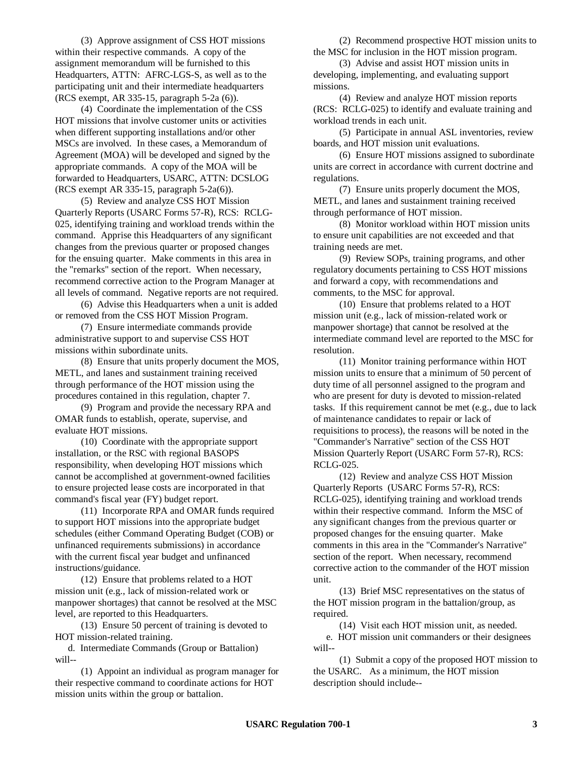(3) Approve assignment of CSS HOT missions within their respective commands. A copy of the assignment memorandum will be furnished to this Headquarters, ATTN: AFRC-LGS-S, as well as to the participating unit and their intermediate headquarters (RCS exempt, AR 335-15, paragraph 5-2a (6)).

(4) Coordinate the implementation of the CSS HOT missions that involve customer units or activities when different supporting installations and/or other MSCs are involved. In these cases, a Memorandum of Agreement (MOA) will be developed and signed by the appropriate commands. A copy of the MOA will be forwarded to Headquarters, USARC, ATTN: DCSLOG (RCS exempt AR 335-15, paragraph 5-2a(6)).

(5) Review and analyze CSS HOT Mission Quarterly Reports (USARC Forms 57-R), RCS: RCLG-025, identifying training and workload trends within the command. Apprise this Headquarters of any significant changes from the previous quarter or proposed changes for the ensuing quarter. Make comments in this area in the "remarks" section of the report. When necessary, recommend corrective action to the Program Manager at all levels of command. Negative reports are not required.

(6) Advise this Headquarters when a unit is added or removed from the CSS HOT Mission Program.

(7) Ensure intermediate commands provide administrative support to and supervise CSS HOT missions within subordinate units.

(8) Ensure that units properly document the MOS, METL, and lanes and sustainment training received through performance of the HOT mission using the procedures contained in this regulation, chapter 7.

(9) Program and provide the necessary RPA and OMAR funds to establish, operate, supervise, and evaluate HOT missions.

(10) Coordinate with the appropriate support installation, or the RSC with regional BASOPS responsibility, when developing HOT missions which cannot be accomplished at government-owned facilities to ensure projected lease costs are incorporated in that command's fiscal year (FY) budget report.

(11) Incorporate RPA and OMAR funds required to support HOT missions into the appropriate budget schedules (either Command Operating Budget (COB) or unfinanced requirements submissions) in accordance with the current fiscal year budget and unfinanced instructions/guidance.

(12) Ensure that problems related to a HOT mission unit (e.g., lack of mission-related work or manpower shortages) that cannot be resolved at the MSC level, are reported to this Headquarters.

(13) Ensure 50 percent of training is devoted to HOT mission-related training.

d. Intermediate Commands (Group or Battalion) will--

(1) Appoint an individual as program manager for their respective command to coordinate actions for HOT mission units within the group or battalion.

(2) Recommend prospective HOT mission units to the MSC for inclusion in the HOT mission program.

(3) Advise and assist HOT mission units in developing, implementing, and evaluating support missions.

(4) Review and analyze HOT mission reports (RCS: RCLG-025) to identify and evaluate training and workload trends in each unit.

(5) Participate in annual ASL inventories, review boards, and HOT mission unit evaluations.

(6) Ensure HOT missions assigned to subordinate units are correct in accordance with current doctrine and regulations.

(7) Ensure units properly document the MOS, METL, and lanes and sustainment training received through performance of HOT mission.

(8) Monitor workload within HOT mission units to ensure unit capabilities are not exceeded and that training needs are met.

(9) Review SOPs, training programs, and other regulatory documents pertaining to CSS HOT missions and forward a copy, with recommendations and comments, to the MSC for approval.

(10) Ensure that problems related to a HOT mission unit (e.g., lack of mission-related work or manpower shortage) that cannot be resolved at the intermediate command level are reported to the MSC for resolution.

(11) Monitor training performance within HOT mission units to ensure that a minimum of 50 percent of duty time of all personnel assigned to the program and who are present for duty is devoted to mission-related tasks. If this requirement cannot be met (e.g., due to lack of maintenance candidates to repair or lack of requisitions to process), the reasons will be noted in the "Commander's Narrative" section of the CSS HOT Mission Quarterly Report (USARC Form 57-R), RCS: RCLG-025.

(12) Review and analyze CSS HOT Mission Quarterly Reports (USARC Forms 57-R), RCS: RCLG-025), identifying training and workload trends within their respective command. Inform the MSC of any significant changes from the previous quarter or proposed changes for the ensuing quarter. Make comments in this area in the "Commander's Narrative" section of the report. When necessary, recommend corrective action to the commander of the HOT mission unit.

(13) Brief MSC representatives on the status of the HOT mission program in the battalion/group, as required.

(14) Visit each HOT mission unit, as needed.

e. HOT mission unit commanders or their designees will--

(1) Submit a copy of the proposed HOT mission to the USARC. As a minimum, the HOT mission description should include--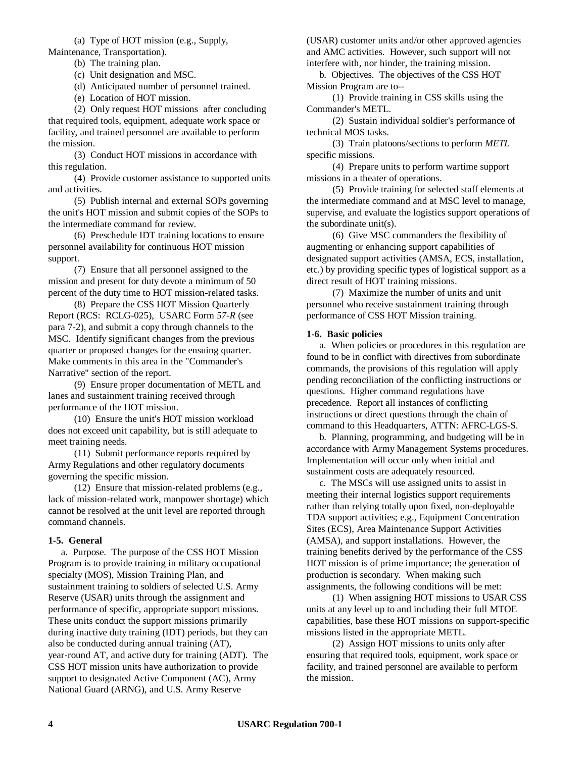(a) Type of HOT mission (e.g., Supply, Maintenance, Transportation).

(b) The training plan.

(c) Unit designation and MSC.

(d) Anticipated number of personnel trained.

(e) Location of HOT mission.

(2) Only request HOT missions after concluding that required tools, equipment, adequate work space or facility, and trained personnel are available to perform the mission.

(3) Conduct HOT missions in accordance with this regulation.

(4) Provide customer assistance to supported units and activities.

(5) Publish internal and external SOPs governing the unit's HOT mission and submit copies of the SOPs to the intermediate command for review.

(6) Preschedule IDT training locations to ensure personnel availability for continuous HOT mission support.

(7) Ensure that all personnel assigned to the mission and present for duty devote a minimum of 50 percent of the duty time to HOT mission-related tasks.

(8) Prepare the CSS HOT Mission Quarterly Report (RCS: RCLG-025), USARC Form *57-R* (see para 7-2), and submit a copy through channels to the MSC. Identify significant changes from the previous quarter or proposed changes for the ensuing quarter. Make comments in this area in the "Commander's Narrative" section of the report.

(9) Ensure proper documentation of METL and lanes and sustainment training received through performance of the HOT mission.

(10) Ensure the unit's HOT mission workload does not exceed unit capability, but is still adequate to meet training needs.

(11) Submit performance reports required by Army Regulations and other regulatory documents governing the specific mission.

(12) Ensure that mission-related problems (e.g., lack of mission-related work, manpower shortage) which cannot be resolved at the unit level are reported through command channels.

## **1-5. General**

a. Purpose. The purpose of the CSS HOT Mission Program is to provide training in military occupational specialty (MOS), Mission Training Plan, and sustainment training to soldiers of selected U.S. Army Reserve (USAR) units through the assignment and performance of specific, appropriate support missions. These units conduct the support missions primarily during inactive duty training (IDT) periods, but they can also be conducted during annual training (AT), year-round AT, and active duty for training (ADT). The CSS HOT mission units have authorization to provide support to designated Active Component (AC), Army National Guard (ARNG), and U.S. Army Reserve

(USAR) customer units and/or other approved agencies and AMC activities. However, such support will not interfere with, nor hinder, the training mission.

b. Objectives. The objectives of the CSS HOT Mission Program are to--

(1) Provide training in CSS skills using the Commander's METL.

(2) Sustain individual soldier's performance of technical MOS tasks.

(3) Train platoons/sections to perform *METL* specific missions.

(4) Prepare units to perform wartime support missions in a theater of operations.

(5) Provide training for selected staff elements at the intermediate command and at MSC level to manage, supervise, and evaluate the logistics support operations of the subordinate unit(s).

(6) Give MSC commanders the flexibility of augmenting or enhancing support capabilities of designated support activities (AMSA, ECS, installation, etc.) by providing specific types of logistical support as a direct result of HOT training missions.

(7) Maximize the number of units and unit personnel who receive sustainment training through performance of CSS HOT Mission training.

## **1-6. Basic policies**

a. When policies or procedures in this regulation are found to be in conflict with directives from subordinate commands, the provisions of this regulation will apply pending reconciliation of the conflicting instructions or questions. Higher command regulations have precedence. Report all instances of conflicting instructions or direct questions through the chain of command to this Headquarters, ATTN: AFRC-LGS-S.

b. Planning, programming, and budgeting will be in accordance with Army Management Systems procedures. Implementation will occur only when initial and sustainment costs are adequately resourced.

c. The MSCs will use assigned units to assist in meeting their internal logistics support requirements rather than relying totally upon fixed, non-deployable TDA support activities; e.g., Equipment Concentration Sites (ECS), Area Maintenance Support Activities (AMSA), and support installations. However, the training benefits derived by the performance of the CSS HOT mission is of prime importance; the generation of production is secondary. When making such assignments, the following conditions will be met:

(1) When assigning HOT missions to USAR CSS units at any level up to and including their full MTOE capabilities, base these HOT missions on support-specific missions listed in the appropriate METL*.*

(2) Assign HOT missions to units only after ensuring that required tools, equipment, work space or facility, and trained personnel are available to perform the mission.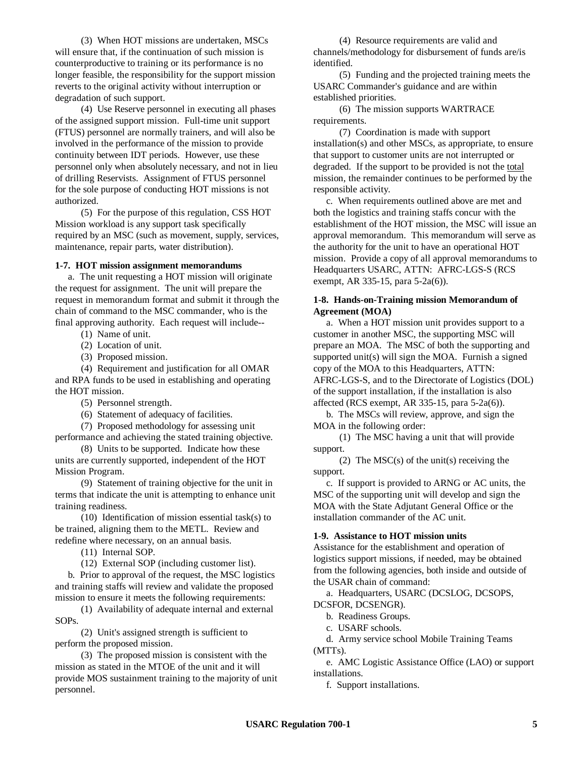(3) When HOT missions are undertaken, MSCs will ensure that, if the continuation of such mission is counterproductive to training or its performance is no longer feasible, the responsibility for the support mission reverts to the original activity without interruption or degradation of such support.

(4) Use Reserve personnel in executing all phases of the assigned support mission. Full-time unit support (FTUS) personnel are normally trainers, and will also be involved in the performance of the mission to provide continuity between IDT periods. However, use these personnel only when absolutely necessary, and not in lieu of drilling Reservists. Assignment of FTUS personnel for the sole purpose of conducting HOT missions is not authorized.

(5) For the purpose of this regulation, CSS HOT Mission workload is any support task specifically required by an MSC (such as movement, supply, services, maintenance, repair parts, water distribution).

## **1-7. HOT mission assignment memorandums**

a. The unit requesting a HOT mission will originate the request for assignment. The unit will prepare the request in memorandum format and submit it through the chain of command to the MSC commander, who is the final approving authority. Each request will include--

(1) Name of unit.

(2) Location of unit.

(3) Proposed mission.

(4) Requirement and justification for all OMAR and RPA funds to be used in establishing and operating the HOT mission.

(5) Personnel strength.

(6) Statement of adequacy of facilities.

(7) Proposed methodology for assessing unit performance and achieving the stated training objective.

(8) Units to be supported. Indicate how these units are currently supported, independent of the HOT Mission Program.

(9) Statement of training objective for the unit in terms that indicate the unit is attempting to enhance unit training readiness.

(10) Identification of mission essential task(s) to be trained, aligning them to the METL. Review and redefine where necessary, on an annual basis.

(11) Internal SOP.

(12) External SOP (including customer list).

b. Prior to approval of the request, the MSC logistics and training staffs will review and validate the proposed mission to ensure it meets the following requirements:

(1) Availability of adequate internal and external SOPs.

(2) Unit's assigned strength is sufficient to perform the proposed mission.

(3) The proposed mission is consistent with the mission as stated in the MTOE of the unit and it will provide MOS sustainment training to the majority of unit personnel.

(4) Resource requirements are valid and channels/methodology for disbursement of funds are/is identified.

(5) Funding and the projected training meets the USARC Commander's guidance and are within established priorities.

(6) The mission supports WARTRACE requirements.

(7) Coordination is made with support installation(s) and other MSCs, as appropriate, to ensure that support to customer units are not interrupted or degraded. If the support to be provided is not the total mission, the remainder continues to be performed by the responsible activity.

c. When requirements outlined above are met and both the logistics and training staffs concur with the establishment of the HOT mission, the MSC will issue an approval memorandum. This memorandum will serve as the authority for the unit to have an operational HOT mission. Provide a copy of all approval memorandums to Headquarters USARC, ATTN: AFRC-LGS-S (RCS exempt, AR 335-15, para 5-2a(6)).

## **1-8. Hands-on-Training mission Memorandum of Agreement (MOA)**

a. When a HOT mission unit provides support to a customer in another MSC, the supporting MSC will prepare an MOA. The MSC of both the supporting and supported unit(s) will sign the MOA. Furnish a signed copy of the MOA to this Headquarters, ATTN: AFRC-LGS-S, and to the Directorate of Logistics (DOL) of the support installation, if the installation is also affected (RCS exempt, AR 335-15, para 5-2a(6)).

b. The MSCs will review, approve, and sign the MOA in the following order:

(1) The MSC having a unit that will provide support.

(2) The MSC(s) of the unit(s) receiving the support.

c. If support is provided to ARNG or AC units, the MSC of the supporting unit will develop and sign the MOA with the State Adjutant General Office or the installation commander of the AC unit.

#### **1-9. Assistance to HOT mission units**

Assistance for the establishment and operation of logistics support missions, if needed, may be obtained from the following agencies, both inside and outside of the USAR chain of command:

a. Headquarters, USARC (DCSLOG, DCSOPS, DCSFOR, DCSENGR).

b. Readiness Groups.

c. USARF schools.

d. Army service school Mobile Training Teams (MTTs).

e. AMC Logistic Assistance Office (LAO) or support installations.

f. Support installations.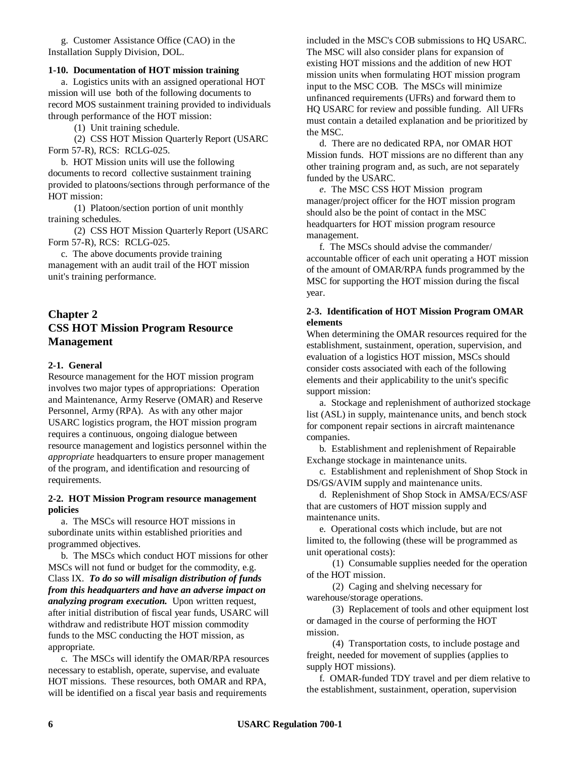g. Customer Assistance Office (CAO) in the Installation Supply Division, DOL.

## **1-10. Documentation of HOT mission training**

a. Logistics units with an assigned operational HOT mission will use both of the following documents to record MOS sustainment training provided to individuals through performance of the HOT mission:

(1) Unit training schedule.

(2) CSS HOT Mission Quarterly Report (USARC Form 57-R), RCS: RCLG-025.

b. HOT Mission units will use the following documents to record collective sustainment training provided to platoons/sections through performance of the HOT mission:

(1) Platoon/section portion of unit monthly training schedules.

(2) CSS HOT Mission Quarterly Report (USARC Form 57-R), RCS: RCLG-025.

c. The above documents provide training management with an audit trail of the HOT mission unit's training performance.

# **Chapter 2 CSS HOT Mission Program Resource Management**

# **2-1. General**

Resource management for the HOT mission program involves two major types of appropriations: Operation and Maintenance, Army Reserve (OMAR) and Reserve Personnel, Army (RPA). As with any other major USARC logistics program, the HOT mission program requires a continuous, ongoing dialogue between resource management and logistics personnel within the *appropriate* headquarters to ensure proper management of the program, and identification and resourcing of requirements.

## **2-2. HOT Mission Program resource management policies**

a. The MSCs will resource HOT missions in subordinate units within established priorities and programmed objectives.

b. The MSCs which conduct HOT missions for other MSCs will not fund or budget for the commodity, e.g. Class IX. *To do so will misalign distribution of funds from this headquarters and have an adverse impact on analyzing program execution.* Upon written request, after initial distribution of fiscal year funds, USARC will withdraw and redistribute HOT mission commodity funds to the MSC conducting the HOT mission, as appropriate.

c. The MSCs will identify the OMAR/RPA resources necessary to establish, operate, supervise, and evaluate HOT missions. These resources, both OMAR and RPA, will be identified on a fiscal year basis and requirements

included in the MSC's COB submissions to HQ USARC. The MSC will also consider plans for expansion of existing HOT missions and the addition of new HOT mission units when formulating HOT mission program input to the MSC COB. The MSCs will minimize unfinanced requirements (UFRs) and forward them to HQ USARC for review and possible funding. All UFRs must contain a detailed explanation and be prioritized by the MSC.

d. There are no dedicated RPA, nor OMAR HOT Mission funds. HOT missions are no different than any other training program and, as such, are not separately funded by the USARC.

*e*. The MSC CSS HOT Mission program manager/project officer for the HOT mission program should also be the point of contact in the MSC headquarters for HOT mission program resource management.

f. The MSCs should advise the commander/ accountable officer of each unit operating a HOT mission of the amount of OMAR/RPA funds programmed by the MSC for supporting the HOT mission during the fiscal year.

# **2-3. Identification of HOT Mission Program OMAR elements**

When determining the OMAR resources required for the establishment, sustainment, operation, supervision, and evaluation of a logistics HOT mission, MSCs should consider costs associated with each of the following elements and their applicability to the unit's specific support mission:

a. Stockage and replenishment of authorized stockage list (ASL) in supply, maintenance units, and bench stock for component repair sections in aircraft maintenance companies.

b. Establishment and replenishment of Repairable Exchange stockage in maintenance units.

c. Establishment and replenishment of Shop Stock in DS/GS/AVIM supply and maintenance units.

d. Replenishment of Shop Stock in AMSA/ECS/ASF that are customers of HOT mission supply and maintenance units.

e. Operational costs which include, but are not limited to, the following (these will be programmed as unit operational costs):

(1) Consumable supplies needed for the operation of the HOT mission.

(2) Caging and shelving necessary for warehouse/storage operations.

(3) Replacement of tools and other equipment lost or damaged in the course of performing the HOT mission.

(4) Transportation costs, to include postage and freight, needed for movement of supplies (applies to supply HOT missions).

f. OMAR-funded TDY travel and per diem relative to the establishment, sustainment, operation, supervision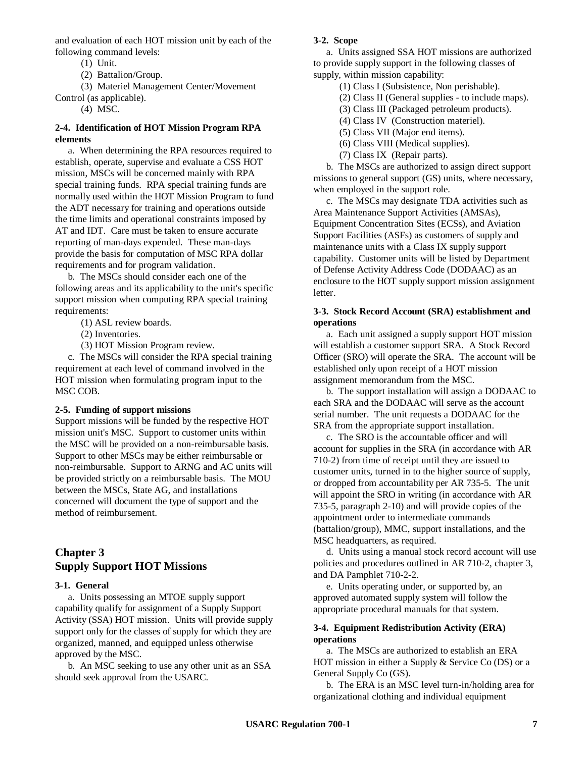and evaluation of each HOT mission unit by each of the following command levels:

(1) Unit.

(2) Battalion/Group.

(3) Materiel Management Center/Movement

- Control (as applicable).
	- (4) MSC.

# **2-4. Identification of HOT Mission Program RPA elements**

a. When determining the RPA resources required to establish, operate, supervise and evaluate a CSS HOT mission, MSCs will be concerned mainly with RPA special training funds. RPA special training funds are normally used within the HOT Mission Program to fund the ADT necessary for training and operations outside the time limits and operational constraints imposed by AT and IDT. Care must be taken to ensure accurate reporting of man-days expended. These man-days provide the basis for computation of MSC RPA dollar requirements and for program validation.

b. The MSCs should consider each one of the following areas and its applicability to the unit's specific support mission when computing RPA special training requirements:

- (1) ASL review boards.
- (2) Inventories.
- (3) HOT Mission Program review.

c. The MSCs will consider the RPA special training requirement at each level of command involved in the HOT mission when formulating program input to the MSC COB.

## **2-5. Funding of support missions**

Support missions will be funded by the respective HOT mission unit's MSC. Support to customer units within the MSC will be provided on a non-reimbursable basis. Support to other MSCs may be either reimbursable or non-reimbursable. Support to ARNG and AC units will be provided strictly on a reimbursable basis. The MOU between the MSCs, State AG, and installations concerned will document the type of support and the method of reimbursement.

# **Chapter 3 Supply Support HOT Missions**

## **3-1. General**

a. Units possessing an MTOE supply support capability qualify for assignment of a Supply Support Activity (SSA) HOT mission. Units will provide supply support only for the classes of supply for which they are organized, manned, and equipped unless otherwise approved by the MSC.

b. An MSC seeking to use any other unit as an SSA should seek approval from the USARC.

## **3-2. Scope**

a. Units assigned SSA HOT missions are authorized to provide supply support in the following classes of supply, within mission capability:

- (1) Class I (Subsistence, Non perishable).
- (2) Class II (General supplies to include maps).
- (3) Class III (Packaged petroleum products).
- (4) Class IV (Construction materiel).
- (5) Class VII (Major end items).
- (6) Class VIII (Medical supplies).
- (7) Class IX (Repair parts).

b. The MSCs are authorized to assign direct support missions to general support (GS) units, where necessary, when employed in the support role.

c. The MSCs may designate TDA activities such as Area Maintenance Support Activities (AMSAs), Equipment Concentration Sites (ECSs), and Aviation Support Facilities (ASFs) as customers of supply and maintenance units with a Class IX supply support capability. Customer units will be listed by Department of Defense Activity Address Code (DODAAC) as an enclosure to the HOT supply support mission assignment letter.

## **3-3. Stock Record Account (SRA) establishment and operations**

a. Each unit assigned a supply support HOT mission will establish a customer support SRA. A Stock Record Officer (SRO) will operate the SRA. The account will be established only upon receipt of a HOT mission assignment memorandum from the MSC.

b. The support installation will assign a DODAAC to each SRA and the DODAAC will serve as the account serial number. The unit requests a DODAAC for the SRA from the appropriate support installation.

c. The SRO is the accountable officer and will account for supplies in the SRA (in accordance with AR 710-2) from time of receipt until they are issued to customer units, turned in to the higher source of supply, or dropped from accountability per AR 735-5. The unit will appoint the SRO in writing (in accordance with AR 735-5, paragraph 2-10) and will provide copies of the appointment order to intermediate commands (battalion/group), MMC, support installations, and the MSC headquarters, as required.

d. Units using a manual stock record account will use policies and procedures outlined in AR 710-2, chapter 3, and DA Pamphlet 710-2-2.

e. Units operating under, or supported by, an approved automated supply system will follow the appropriate procedural manuals for that system.

## **3-4. Equipment Redistribution Activity (ERA) operations**

a. The MSCs are authorized to establish an ERA HOT mission in either a Supply & Service Co (DS) or a General Supply Co (GS).

b. The ERA is an MSC level turn-in/holding area for organizational clothing and individual equipment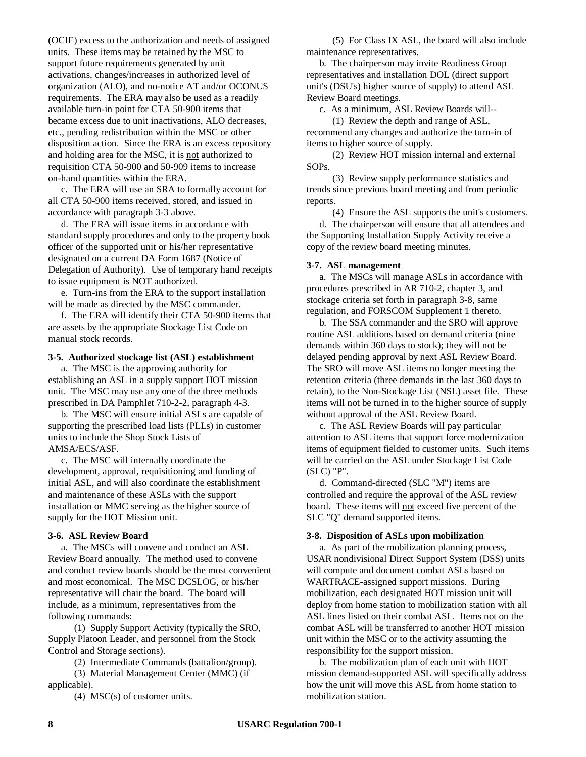(OCIE) excess to the authorization and needs of assigned units. These items may be retained by the MSC to support future requirements generated by unit activations, changes/increases in authorized level of organization (ALO), and no-notice AT and/or OCONUS requirements. The ERA may also be used as a readily available turn-in point for CTA 50-900 items that became excess due to unit inactivations, ALO decreases, etc., pending redistribution within the MSC or other disposition action. Since the ERA is an excess repository and holding area for the MSC, it is not authorized to requisition CTA 50-900 and 50-909 items to increase on-hand quantities within the ERA.

c. The ERA will use an SRA to formally account for all CTA 50-900 items received, stored, and issued in accordance with paragraph 3-3 above.

d. The ERA will issue items in accordance with standard supply procedures and only to the property book officer of the supported unit or his/her representative designated on a current DA Form 1687 (Notice of Delegation of Authority). Use of temporary hand receipts to issue equipment is NOT authorized.

e. Turn-ins from the ERA to the support installation will be made as directed by the MSC commander.

f. The ERA will identify their CTA 50-900 items that are assets by the appropriate Stockage List Code on manual stock records.

# **3-5. Authorized stockage list (ASL) establishment**

a. The MSC is the approving authority for establishing an ASL in a supply support HOT mission unit. The MSC may use any one of the three methods prescribed in DA Pamphlet 710-2-2, paragraph 4-3.

b. The MSC will ensure initial ASLs are capable of supporting the prescribed load lists (PLLs) in customer units to include the Shop Stock Lists of AMSA/ECS/ASF.

c. The MSC will internally coordinate the development, approval, requisitioning and funding of initial ASL, and will also coordinate the establishment and maintenance of these ASLs with the support installation or MMC serving as the higher source of supply for the HOT Mission unit.

# **3-6. ASL Review Board**

a. The MSCs will convene and conduct an ASL Review Board annually. The method used to convene and conduct review boards should be the most convenient and most economical. The MSC DCSLOG, or his/her representative will chair the board. The board will include, as a minimum, representatives from the following commands:

(1) Supply Support Activity (typically the SRO, Supply Platoon Leader, and personnel from the Stock Control and Storage sections).

(2) Intermediate Commands (battalion/group).

(3) Material Management Center (MMC) (if applicable).

(4) MSC(s) of customer units.

(5) For Class IX ASL, the board will also include maintenance representatives.

b. The chairperson may invite Readiness Group representatives and installation DOL (direct support unit's (DSU's) higher source of supply) to attend ASL Review Board meetings.

c. As a minimum, ASL Review Boards will--

(1) Review the depth and range of ASL, recommend any changes and authorize the turn-in of items to higher source of supply.

(2) Review HOT mission internal and external SOPs.

(3) Review supply performance statistics and trends since previous board meeting and from periodic reports.

(4) Ensure the ASL supports the unit's customers.

d. The chairperson will ensure that all attendees and the Supporting Installation Supply Activity receive a copy of the review board meeting minutes.

## **3-7. ASL management**

a. The MSCs will manage ASLs in accordance with procedures prescribed in AR 710-2, chapter 3, and stockage criteria set forth in paragraph 3-8, same regulation, and FORSCOM Supplement 1 thereto.

b. The SSA commander and the SRO will approve routine ASL additions based on demand criteria (nine demands within 360 days to stock); they will not be delayed pending approval by next ASL Review Board. The SRO will move ASL items no longer meeting the retention criteria (three demands in the last 360 days to retain), to the Non-Stockage List (NSL) asset file. These items will not be turned in to the higher source of supply without approval of the ASL Review Board.

c. The ASL Review Boards will pay particular attention to ASL items that support force modernization items of equipment fielded to customer units. Such items will be carried on the ASL under Stockage List Code (SLC) "P".

d. Command-directed (SLC "M") items are controlled and require the approval of the ASL review board. These items will not exceed five percent of the SLC "Q" demand supported items.

# **3-8. Disposition of ASLs upon mobilization**

a. As part of the mobilization planning process, USAR nondivisional Direct Support System (DSS) units will compute and document combat ASLs based on WARTRACE-assigned support missions. During mobilization, each designated HOT mission unit will deploy from home station to mobilization station with all ASL lines listed on their combat ASL. Items not on the combat ASL will be transferred to another HOT mission unit within the MSC or to the activity assuming the responsibility for the support mission.

b. The mobilization plan of each unit with HOT mission demand-supported ASL will specifically address how the unit will move this ASL from home station to mobilization station.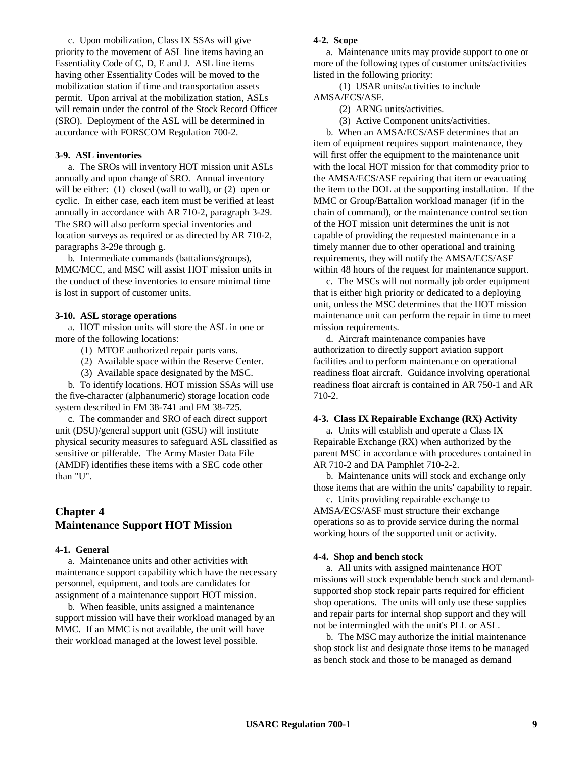c. Upon mobilization, Class IX SSAs will give priority to the movement of ASL line items having an Essentiality Code of C, D, E and J. ASL line items having other Essentiality Codes will be moved to the mobilization station if time and transportation assets permit. Upon arrival at the mobilization station, ASLs will remain under the control of the Stock Record Officer (SRO). Deployment of the ASL will be determined in accordance with FORSCOM Regulation 700-2.

# **3-9. ASL inventories**

a. The SROs will inventory HOT mission unit ASLs annually and upon change of SRO. Annual inventory will be either: (1) closed (wall to wall), or (2) open or cyclic. In either case, each item must be verified at least annually in accordance with AR 710-2, paragraph 3-29. The SRO will also perform special inventories and location surveys as required or as directed by AR 710-2, paragraphs 3-29e through g.

b. Intermediate commands (battalions/groups), MMC/MCC, and MSC will assist HOT mission units in the conduct of these inventories to ensure minimal time is lost in support of customer units.

#### **3-10. ASL storage operations**

a. HOT mission units will store the ASL in one or more of the following locations:

- (1) MTOE authorized repair parts vans.
- (2) Available space within the Reserve Center.
- (3) Available space designated by the MSC.

b. To identify locations. HOT mission SSAs will use the five-character (alphanumeric) storage location code system described in FM 38-741 and FM 38-725.

c. The commander and SRO of each direct support unit (DSU)/general support unit (GSU) will institute physical security measures to safeguard ASL classified as sensitive or pilferable. The Army Master Data File (AMDF) identifies these items with a SEC code other than "U".

# **Chapter 4 Maintenance Support HOT Mission**

#### **4-1. General**

a. Maintenance units and other activities with maintenance support capability which have the necessary personnel, equipment, and tools are candidates for assignment of a maintenance support HOT mission.

b. When feasible, units assigned a maintenance support mission will have their workload managed by an MMC. If an MMC is not available, the unit will have their workload managed at the lowest level possible.

#### **4-2. Scope**

a. Maintenance units may provide support to one or more of the following types of customer units/activities listed in the following priority:

(1) USAR units/activities to include AMSA/ECS/ASF.

- (2) ARNG units/activities.
- (3) Active Component units/activities.

b. When an AMSA/ECS/ASF determines that an item of equipment requires support maintenance, they will first offer the equipment to the maintenance unit with the local HOT mission for that commodity prior to the AMSA/ECS/ASF repairing that item or evacuating the item to the DOL at the supporting installation. If the MMC or Group/Battalion workload manager (if in the chain of command), or the maintenance control section of the HOT mission unit determines the unit is not capable of providing the requested maintenance in a timely manner due to other operational and training requirements, they will notify the AMSA/ECS/ASF within 48 hours of the request for maintenance support.

c. The MSCs will not normally job order equipment that is either high priority or dedicated to a deploying unit, unless the MSC determines that the HOT mission maintenance unit can perform the repair in time to meet mission requirements.

d. Aircraft maintenance companies have authorization to directly support aviation support facilities and to perform maintenance on operational readiness float aircraft. Guidance involving operational readiness float aircraft is contained in AR 750-1 and AR 710-2.

## **4-3. Class IX Repairable Exchange (RX) Activity**

a. Units will establish and operate a Class IX Repairable Exchange (RX) when authorized by the parent MSC in accordance with procedures contained in AR 710-2 and DA Pamphlet 710-2-2.

b. Maintenance units will stock and exchange only those items that are within the units' capability to repair.

c. Units providing repairable exchange to AMSA/ECS/ASF must structure their exchange operations so as to provide service during the normal working hours of the supported unit or activity.

## **4-4. Shop and bench stock**

a. All units with assigned maintenance HOT missions will stock expendable bench stock and demandsupported shop stock repair parts required for efficient shop operations. The units will only use these supplies and repair parts for internal shop support and they will not be intermingled with the unit's PLL or ASL.

b. The MSC may authorize the initial maintenance shop stock list and designate those items to be managed as bench stock and those to be managed as demand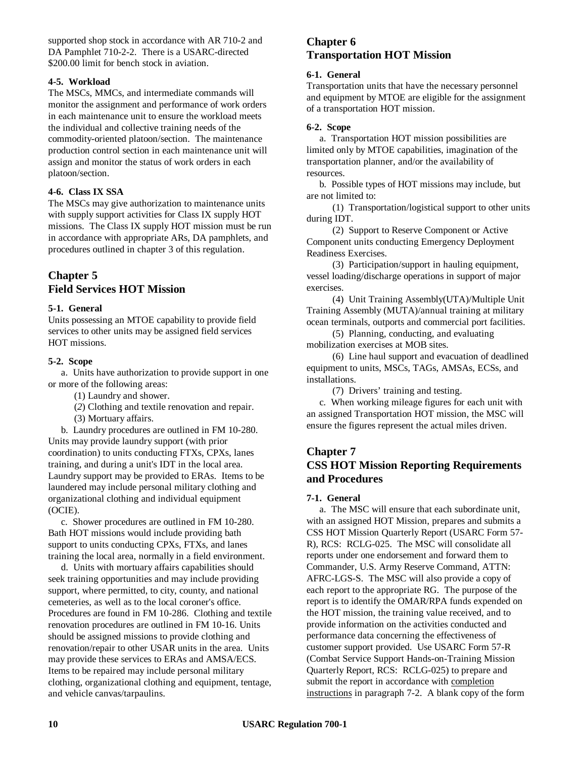supported shop stock in accordance with AR 710-2 and DA Pamphlet 710-2-2. There is a USARC-directed \$200.00 limit for bench stock in aviation.

# **4-5. Workload**

The MSCs, MMCs, and intermediate commands will monitor the assignment and performance of work orders in each maintenance unit to ensure the workload meets the individual and collective training needs of the commodity-oriented platoon/section. The maintenance production control section in each maintenance unit will assign and monitor the status of work orders in each platoon/section.

# **4-6. Class IX SSA**

The MSCs may give authorization to maintenance units with supply support activities for Class IX supply HOT missions. The Class IX supply HOT mission must be run in accordance with appropriate ARs, DA pamphlets, and procedures outlined in chapter 3 of this regulation.

# **Chapter 5**

# **Field Services HOT Mission**

# **5-1. General**

Units possessing an MTOE capability to provide field services to other units may be assigned field services HOT missions.

# **5-2. Scope**

a. Units have authorization to provide support in one or more of the following areas:

(1) Laundry and shower.

(*2*) Clothing and textile renovation and repair.

(3) Mortuary affairs.

b. Laundry procedures are outlined in FM 10-280. Units may provide laundry support (with prior coordination) to units conducting FTXs, CPXs, lanes training, and during a unit's IDT in the local area. Laundry support may be provided to ERAs. Items to be laundered may include personal military clothing and organizational clothing and individual equipment (OCIE).

c. Shower procedures are outlined in FM 10-280. Bath HOT missions would include providing bath support to units conducting CPXs, FTXs, and lanes training the local area, normally in a field environment.

d. Units with mortuary affairs capabilities should seek training opportunities and may include providing support, where permitted, to city, county, and national cemeteries, as well as to the local coroner's office. Procedures are found in FM 10-286. Clothing and textile renovation procedures are outlined in FM 10-16. Units should be assigned missions to provide clothing and renovation/repair to other USAR units in the area. Units may provide these services to ERAs and AMSA/ECS. Items to be repaired may include personal military clothing, organizational clothing and equipment, tentage, and vehicle canvas/tarpaulins.

# **Chapter 6 Transportation HOT Mission**

# **6-1. General**

Transportation units that have the necessary personnel and equipment by MTOE are eligible for the assignment of a transportation HOT mission.

# **6-2. Scope**

a. Transportation HOT mission possibilities are limited only by MTOE capabilities, imagination of the transportation planner, and/or the availability of resources.

b. Possible types of HOT missions may include, but are not limited to:

(1) Transportation/logistical support to other units during IDT.

(2) Support to Reserve Component or Active Component units conducting Emergency Deployment Readiness Exercises.

(3) Participation/support in hauling equipment, vessel loading/discharge operations in support of major exercises.

(4) Unit Training Assembly(UTA)/Multiple Unit Training Assembly (MUTA)/annual training at military ocean terminals, outports and commercial port facilities.

(5) Planning, conducting, and evaluating mobilization exercises at MOB sites.

(6) Line haul support and evacuation of deadlined equipment to units, MSCs, TAGs, AMSAs, ECSs, and installations.

(7) Drivers' training and testing.

c. When working mileage figures for each unit with an assigned Transportation HOT mission, the MSC will ensure the figures represent the actual miles driven.

# **Chapter 7**

# **CSS HOT Mission Reporting Requirements and Procedures**

# **7-1. General**

a. The MSC will ensure that each subordinate unit, with an assigned HOT Mission, prepares and submits a CSS HOT Mission Quarterly Report (USARC Form 57- R), RCS: RCLG-025. The MSC will consolidate all reports under one endorsement and forward them to Commander, U.S. Army Reserve Command, ATTN: AFRC-LGS-S. The MSC will also provide a copy of each report to the appropriate RG. The purpose of the report is to identify the OMAR/RPA funds expended on the HOT mission, the training value received, and to provide information on the activities conducted and performance data concerning the effectiveness of customer support provided. Use USARC Form 57-R (Combat Service Support Hands-on-Training Mission Quarterly Report, RCS: RCLG-025) to prepare and submit the report in accordance with completion instructions in paragraph 7-2. A blank copy of the form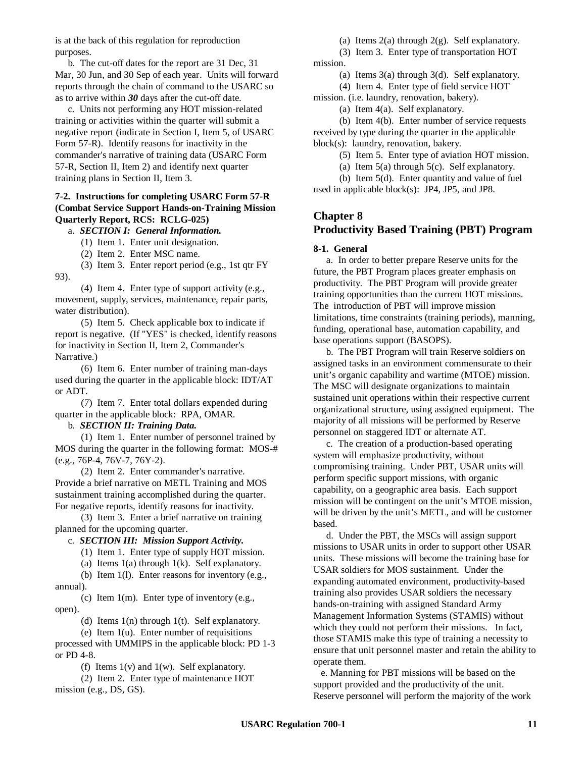is at the back of this regulation for reproduction purposes.

b. The cut-off dates for the report are 31 Dec, 31 Mar, 30 Jun, and 30 Sep of each year. Units will forward reports through the chain of command to the USARC so as to arrive within *30* days after the cut-off date.

c. Units not performing any HOT mission-related training or activities within the quarter will submit a negative report (indicate in Section I, Item 5, of USARC Form 57-R). Identify reasons for inactivity in the commander's narrative of training data (USARC Form 57-R, Section II, Item 2) and identify next quarter training plans in Section II, Item 3.

# **7-2. Instructions for completing USARC Form 57-R (Combat Service Support Hands-on-Training Mission Quarterly Report, RCS: RCLG-025)**

a. *SECTION I: General Information.*

(1) Item 1. Enter unit designation.

(2) Item 2. Enter MSC name.

 $(3)$  Item 3. Enter report period (e.g., 1st qtr FY) 93).

(4) Item 4. Enter type of support activity (e.g., movement, supply, services, maintenance, repair parts, water distribution).

(5) Item 5. Check applicable box to indicate if report is negative. (If "YES" is checked, identify reasons for inactivity in Section II, Item 2, Commander's Narrative.)

(6) Item 6. Enter number of training man-days used during the quarter in the applicable block: IDT/AT or ADT.

(7) Item 7. Enter total dollars expended during quarter in the applicable block: RPA, OMAR.

# b. *SECTION II: Training Data.*

(1) Item 1. Enter number of personnel trained by MOS during the quarter in the following format: MOS-# (e.g., 76P-4, 76V-7, 76Y-2).

(2) Item 2. Enter commander's narrative. Provide a brief narrative on METL Training and MOS sustainment training accomplished during the quarter. For negative reports, identify reasons for inactivity.

(3) Item 3. Enter a brief narrative on training planned for the upcoming quarter.

# c. *SECTION III: Mission Support Activity.*

(1) Item 1. Enter type of supply HOT mission.

(a) Items 1(a) through 1(k). Self explanatory.

(b) Item 1(l). Enter reasons for inventory (e.g., annual).

(c) Item 1(m). Enter type of inventory (e.g., open).

(d) Items 1(n) through 1(t). Self explanatory.

(e) Item 1(u). Enter number of requisitions processed with UMMIPS in the applicable block: PD 1-3 or PD 4-8.

(f) Items  $1(v)$  and  $1(w)$ . Self explanatory.

(2) Item 2. Enter type of maintenance HOT mission (e.g., DS, GS).

(a) Items  $2(a)$  through  $2(g)$ . Self explanatory.

(3) Item 3. Enter type of transportation HOT mission.

(a) Items 3(a) through 3(d). Self explanatory.

(4) Item 4. Enter type of field service HOT

mission. (i.e. laundry, renovation, bakery).

(a) Item 4(a). Self explanatory.

(b) Item 4(b). Enter number of service requests received by type during the quarter in the applicable block(s): laundry, renovation, bakery.

(5) Item 5. Enter type of aviation HOT mission.

(a) Item 5(a) through 5(c). Self explanatory.

(b) Item 5(d). Enter quantity and value of fuel used in applicable block(s): JP4, JP5, and JP8.

# **Chapter 8 Productivity Based Training (PBT) Program**

## **8-1. General**

a. In order to better prepare Reserve units for the future, the PBT Program places greater emphasis on productivity. The PBT Program will provide greater training opportunities than the current HOT missions. The introduction of PBT will improve mission limitations, time constraints (training periods), manning, funding, operational base, automation capability, and base operations support (BASOPS).

b. The PBT Program will train Reserve soldiers on assigned tasks in an environment commensurate to their unit's organic capability and wartime (MTOE) mission. The MSC will designate organizations to maintain sustained unit operations within their respective current organizational structure, using assigned equipment. The majority of all missions will be performed by Reserve personnel on staggered IDT or alternate AT.

c. The creation of a production-based operating system will emphasize productivity, without compromising training. Under PBT, USAR units will perform specific support missions, with organic capability, on a geographic area basis. Each support mission will be contingent on the unit's MTOE mission, will be driven by the unit's METL, and will be customer based.

d. Under the PBT, the MSCs will assign support missions to USAR units in order to support other USAR units. These missions will become the training base for USAR soldiers for MOS sustainment. Under the expanding automated environment, productivity-based training also provides USAR soldiers the necessary hands-on-training with assigned Standard Army Management Information Systems (STAMIS) without which they could not perform their missions. In fact, those STAMIS make this type of training a necessity to ensure that unit personnel master and retain the ability to operate them.

 e. Manning for PBT missions will be based on the support provided and the productivity of the unit. Reserve personnel will perform the majority of the work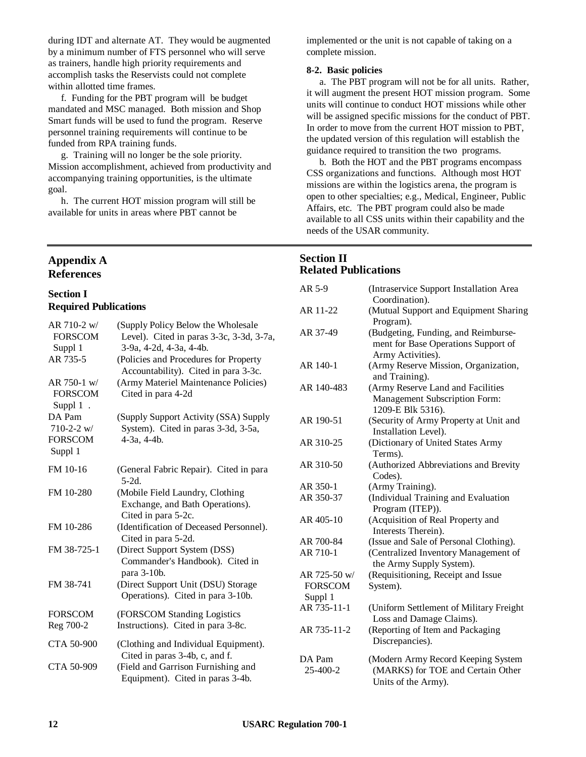during IDT and alternate AT. They would be augmented by a minimum number of FTS personnel who will serve as trainers, handle high priority requirements and accomplish tasks the Reservists could not complete within allotted time frames.

f. Funding for the PBT program will be budget mandated and MSC managed. Both mission and Shop Smart funds will be used to fund the program. Reserve personnel training requirements will continue to be funded from RPA training funds.

g. Training will no longer be the sole priority. Mission accomplishment, achieved from productivity and accompanying training opportunities, is the ultimate goal.

h. The current HOT mission program will still be available for units in areas where PBT cannot be

# **Appendix A References**

# **Section I Required Publications**

| AR 710-2 w/<br><b>FORSCOM</b><br>Suppl 1<br>AR 735-5<br>$AR$ 750-1 w/ | (Supply Policy Below the Wholesale<br>Level). Cited in paras 3-3c, 3-3d, 3-7a,<br>3-9a, 4-2d, 4-3a, 4-4b.<br>(Policies and Procedures for Property<br>Accountability). Cited in para 3-3c.<br>(Army Materiel Maintenance Policies) |
|-----------------------------------------------------------------------|------------------------------------------------------------------------------------------------------------------------------------------------------------------------------------------------------------------------------------|
| <b>FORSCOM</b><br>Suppl $1$ .                                         | Cited in para 4-2d                                                                                                                                                                                                                 |
| DA Pam<br>$710 - 2 - 2$ w/<br><b>FORSCOM</b><br>Suppl 1               | (Supply Support Activity (SSA) Supply<br>System). Cited in paras 3-3d, 3-5a,<br>4-3a, 4-4b.                                                                                                                                        |
| FM 10-16                                                              | (General Fabric Repair). Cited in para<br>$5-2d$ .                                                                                                                                                                                 |
| FM 10-280                                                             | (Mobile Field Laundry, Clothing<br>Exchange, and Bath Operations).<br>Cited in para 5-2c.                                                                                                                                          |
| FM 10-286                                                             | (Identification of Deceased Personnel).<br>Cited in para 5-2d.                                                                                                                                                                     |
| FM 38-725-1                                                           | (Direct Support System (DSS)<br>Commander's Handbook). Cited in<br>para 3-10b.                                                                                                                                                     |
| FM 38-741                                                             | (Direct Support Unit (DSU) Storage<br>Operations). Cited in para 3-10b.                                                                                                                                                            |
| <b>FORSCOM</b>                                                        | (FORSCOM Standing Logistics                                                                                                                                                                                                        |
| Reg 700-2                                                             | Instructions). Cited in para 3-8c.                                                                                                                                                                                                 |
| CTA 50-900                                                            | (Clothing and Individual Equipment).<br>Cited in paras 3-4b, c, and f.                                                                                                                                                             |
| CTA 50-909                                                            | (Field and Garrison Furnishing and<br>Equipment). Cited in paras 3-4b.                                                                                                                                                             |

implemented or the unit is not capable of taking on a complete mission.

# **8-2. Basic policies**

a. The PBT program will not be for all units. Rather, it will augment the present HOT mission program. Some units will continue to conduct HOT missions while other will be assigned specific missions for the conduct of PBT. In order to move from the current HOT mission to PBT, the updated version of this regulation will establish the guidance required to transition the two programs.

b. Both the HOT and the PBT programs encompass CSS organizations and functions. Although most HOT missions are within the logistics arena, the program is open to other specialties; e.g., Medical, Engineer, Public Affairs, etc. The PBT program could also be made available to all CSS units within their capability and the needs of the USAR community.

# **Section II Related Publications**

| AR 5-9                    | (Intraservice Support Installation Area<br>Coordination).                                       |
|---------------------------|-------------------------------------------------------------------------------------------------|
| AR 11-22                  | (Mutual Support and Equipment Sharing<br>Program).                                              |
| AR 37-49                  | (Budgeting, Funding, and Reimburse-<br>ment for Base Operations Support of<br>Army Activities). |
| AR 140-1                  | (Army Reserve Mission, Organization,<br>and Training).                                          |
| AR 140-483                | (Army Reserve Land and Facilities<br>Management Subscription Form:<br>1209-E Blk 5316).         |
| AR 190-51                 | (Security of Army Property at Unit and<br>Installation Level).                                  |
| AR 310-25                 | (Dictionary of United States Army<br>Terms).                                                    |
| AR 310-50                 | (Authorized Abbreviations and Brevity<br>Codes).                                                |
| AR 350-1                  | (Army Training).                                                                                |
| AR 350-37                 | (Individual Training and Evaluation<br>Program (ITEP)).                                         |
| AR 405-10                 | (Acquisition of Real Property and<br>Interests Therein).                                        |
| AR 700-84                 | (Issue and Sale of Personal Clothing).                                                          |
| AR 710-1                  | (Centralized Inventory Management of<br>the Army Supply System).                                |
| AR 725-50 w/              | (Requisitioning, Receipt and Issue                                                              |
| <b>FORSCOM</b><br>Suppl 1 | System).                                                                                        |
| AR 735-11-1               | (Uniform Settlement of Military Freight)<br>Loss and Damage Claims).                            |
| AR 735-11-2               | (Reporting of Item and Packaging<br>Discrepancies).                                             |
| DA Pam<br>25-400-2        | (Modern Army Record Keeping System<br>(MARKS) for TOE and Certain Other<br>Units of the Army).  |